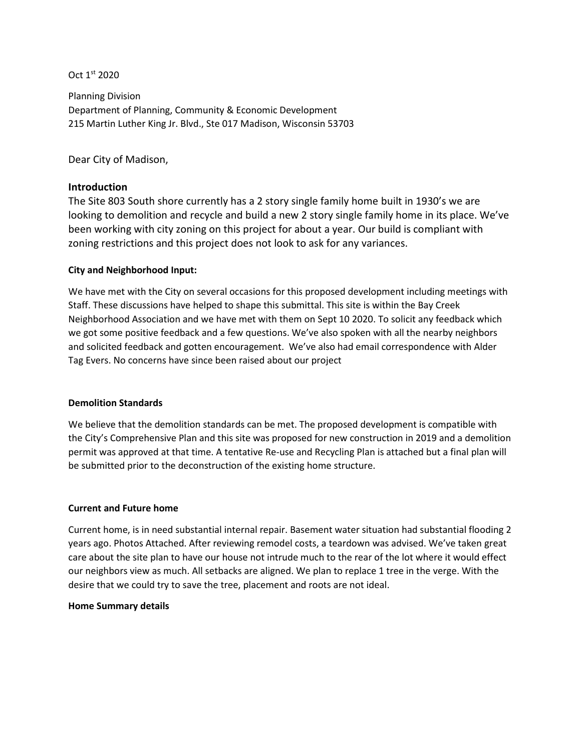Oct 1st 2020

Planning Division Department of Planning, Community & Economic Development 215 Martin Luther King Jr. Blvd., Ste 017 Madison, Wisconsin 53703

Dear City of Madison,

# **Introduction**

The Site 803 South shore currently has a 2 story single family home built in 1930's we are looking to demolition and recycle and build a new 2 story single family home in its place. We've been working with city zoning on this project for about a year. Our build is compliant with zoning restrictions and this project does not look to ask for any variances.

## **City and Neighborhood Input:**

We have met with the City on several occasions for this proposed development including meetings with Staff. These discussions have helped to shape this submittal. This site is within the Bay Creek Neighborhood Association and we have met with them on Sept 10 2020. To solicit any feedback which we got some positive feedback and a few questions. We've also spoken with all the nearby neighbors and solicited feedback and gotten encouragement. We've also had email correspondence with Alder Tag Evers. No concerns have since been raised about our project

#### **Demolition Standards**

We believe that the demolition standards can be met. The proposed development is compatible with the City's Comprehensive Plan and this site was proposed for new construction in 2019 and a demolition permit was approved at that time. A tentative Re-use and Recycling Plan is attached but a final plan will be submitted prior to the deconstruction of the existing home structure.

## **Current and Future home**

Current home, is in need substantial internal repair. Basement water situation had substantial flooding 2 years ago. Photos Attached. After reviewing remodel costs, a teardown was advised. We've taken great care about the site plan to have our house not intrude much to the rear of the lot where it would effect our neighbors view as much. All setbacks are aligned. We plan to replace 1 tree in the verge. With the desire that we could try to save the tree, placement and roots are not ideal.

## **Home Summary details**